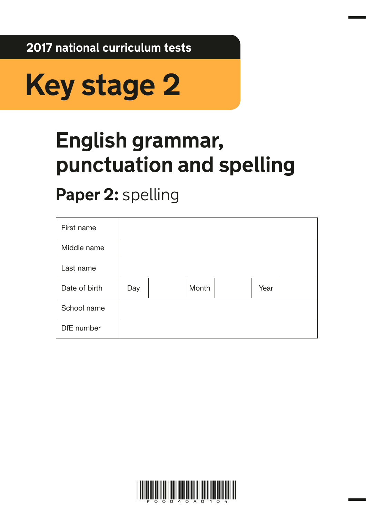**2017 national curriculum tests**



# **English grammar, punctuation and spelling**

## **Paper 2:** spelling

| First name    |     |       |      |  |
|---------------|-----|-------|------|--|
| Middle name   |     |       |      |  |
| Last name     |     |       |      |  |
| Date of birth | Day | Month | Year |  |
| School name   |     |       |      |  |
| DfE number    |     |       |      |  |

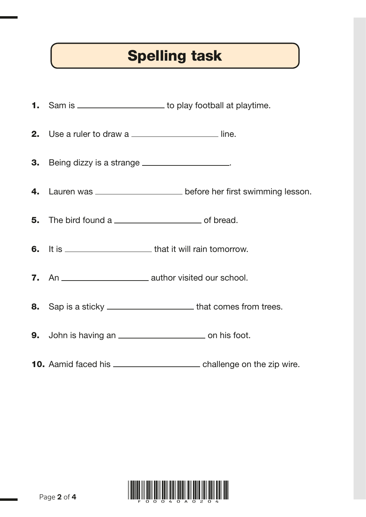### Spelling task

|                                                   | 1. Sam is _______________________ to play football at playtime.           |
|---------------------------------------------------|---------------------------------------------------------------------------|
| 2. Use a ruler to draw a                          |                                                                           |
| 3. Being dizzy is a strange ____________________. |                                                                           |
|                                                   | 4. Lauren was _________________________ before her first swimming lesson. |
|                                                   |                                                                           |
|                                                   |                                                                           |
|                                                   |                                                                           |
|                                                   | 8. Sap is a sticky ________________________that comes from trees.         |
|                                                   |                                                                           |
|                                                   |                                                                           |

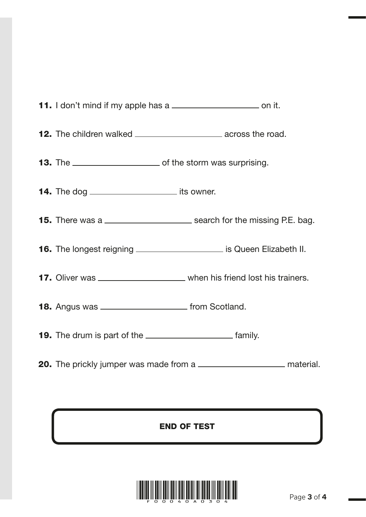|                                                           | <b>11.</b> I don't mind if my apple has a ____________________________ on it.        |
|-----------------------------------------------------------|--------------------------------------------------------------------------------------|
|                                                           | <b>12.</b> The children walked ____________________________ across the road.         |
|                                                           |                                                                                      |
| <b>14.</b> The dog ___________________________ its owner. |                                                                                      |
|                                                           | <b>15.</b> There was a ____________________________ search for the missing P.E. bag. |
|                                                           | 16. The longest reigning ______________________ is Queen Elizabeth II.               |
|                                                           | 17. Oliver was ________________________ when his friend lost his trainers.           |
| 18. Angus was _________________________ from Scotland.    |                                                                                      |
|                                                           |                                                                                      |
|                                                           | 20. The prickly jumper was made from a _________________________ material.           |

### END OF TEST